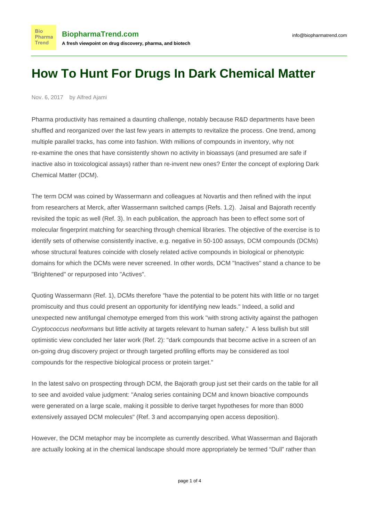Nov. 6, 2017 by Alfred Ajami

**Bio** Pharma Trend

Pharma productivity has remained a daunting challenge, notably because R&D departments have been shuffled and reorganized over the last few years in attempts to revitalize the process. One trend, among multiple parallel tracks, has come into fashion. With millions of compounds in inventory, why not re-examine the ones that have consistently shown no activity in bioassays (and presumed are safe if inactive also in toxicological assays) rather than re-invent new ones? Enter the concept of exploring Dark Chemical Matter (DCM).

The term DCM was coined by Wassermann and colleagues at Novartis and then refined with the input from researchers at Merck, after Wassermann switched camps (Refs. 1,2). Jaisal and Bajorath recently revisited the topic as well (Ref. 3). In each publication, the approach has been to effect some sort of molecular fingerprint matching for searching through chemical libraries. The objective of the exercise is to identify sets of otherwise consistently inactive, e.g. negative in 50-100 assays, DCM compounds (DCMs) whose structural features coincide with closely related active compounds in biological or phenotypic domains for which the DCMs were never screened. In other words, DCM "Inactives" stand a chance to be "Brightened" or repurposed into "Actives".

Quoting Wassermann (Ref. 1), DCMs therefore "have the potential to be potent hits with little or no target promiscuity and thus could present an opportunity for identifying new leads." Indeed, a solid and unexpected new antifungal chemotype emerged from this work "with strong activity against the pathogen Cryptococcus neoformans but little activity at targets relevant to human safety." A less bullish but still optimistic view concluded her later work (Ref. 2): "dark compounds that become active in a screen of an on-going drug discovery project or through targeted profiling efforts may be considered as tool compounds for the respective biological process or protein target."

In the latest salvo on prospecting through DCM, the Bajorath group just set their cards on the table for all to see and avoided value judgment: "Analog series containing DCM and known bioactive compounds were generated on a large scale, making it possible to derive target hypotheses for more than 8000 extensively assayed DCM molecules" (Ref. 3 and accompanying open access deposition).

However, the DCM metaphor may be incomplete as currently described. What Wasserman and Bajorath are actually looking at in the chemical landscape should more appropriately be termed "Dull" rather than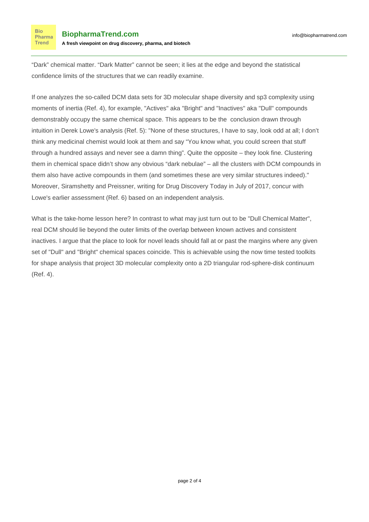"Dark" chemical matter. "Dark Matter" cannot be seen; it lies at the edge and beyond the statistical confidence limits of the structures that we can readily examine.

If one analyzes the so-called DCM data sets for 3D molecular shape diversity and sp3 complexity using moments of inertia (Ref. 4), for example, "Actives" aka "Bright" and "Inactives" aka "Dull" compounds demonstrably occupy the same chemical space. This appears to be the conclusion drawn through intuition in Derek Lowe's analysis (Ref. 5): "None of these structures, I have to say, look odd at all; I don't think any medicinal chemist would look at them and say "You know what, you could screen that stuff through a hundred assays and never see a damn thing". Quite the opposite – they look fine. Clustering them in chemical space didn't show any obvious "dark nebulae" – all the clusters with DCM compounds in them also have active compounds in them (and sometimes these are very similar structures indeed)." Moreover, Siramshetty and Preissner, writing for Drug Discovery Today in July of 2017, concur with Lowe's earlier assessment (Ref. 6) based on an independent analysis.

What is the take-home lesson here? In contrast to what may just turn out to be "Dull Chemical Matter", real DCM should lie beyond the outer limits of the overlap between known actives and consistent inactives. I argue that the place to look for novel leads should fall at or past the margins where any given set of "Dull" and "Bright" chemical spaces coincide. This is achievable using the now time tested toolkits for shape analysis that project 3D molecular complexity onto a 2D triangular rod-sphere-disk continuum (Ref. 4).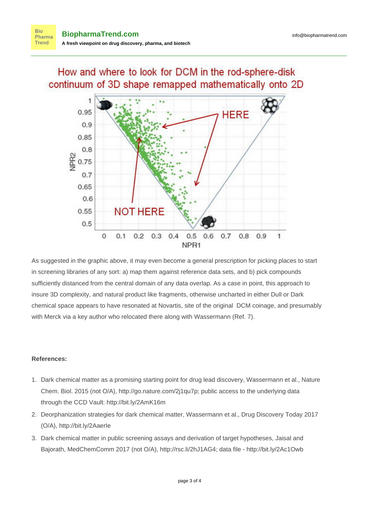## How and where to look for DCM in the rod-sphere-disk continuum of 3D shape remapped mathematically onto 2D



As suggested in the graphic above, it may even become a general prescription for picking places to start in screening libraries of any sort: a) map them against reference data sets, and b) pick compounds sufficiently distanced from the central domain of any data overlap. As a case in point, this approach to insure 3D complexity, and natural product like fragments, otherwise uncharted in either Dull or Dark chemical space appears to have resonated at Novartis, site of the original DCM coinage, and presumably with Merck via a key author who relocated there along with Wassermann (Ref. 7).

## **References:**

- 1. Dark chemical matter as a promising starting point for drug lead discovery, Wassermann et al., Nature Chem. Biol. 2015 (not O/A), [http://go.nature.com/2j1qu7p;](http://go.nature.com/2j1qu7p) public access to the underlying data through the CCD Vault:<http://bit.ly/2AmK16m>
- 2. Deorphanization strategies for dark chemical matter, Wassermann et al., Drug Discovery Today 2017 (O/A), [http://bit.ly/2AaerIe](http://bit.ly/2AaerIe target=)
- 3. Dark chemical matter in public screening assays and derivation of target hypotheses, Jaisal and Bajorath, MedChemComm 2017 (not O/A),<http://rsc.li/2hJ1AG4>; data file - [http://bit.ly/2Ac1Owb](http://bit.ly/2Ac1Owb%20)